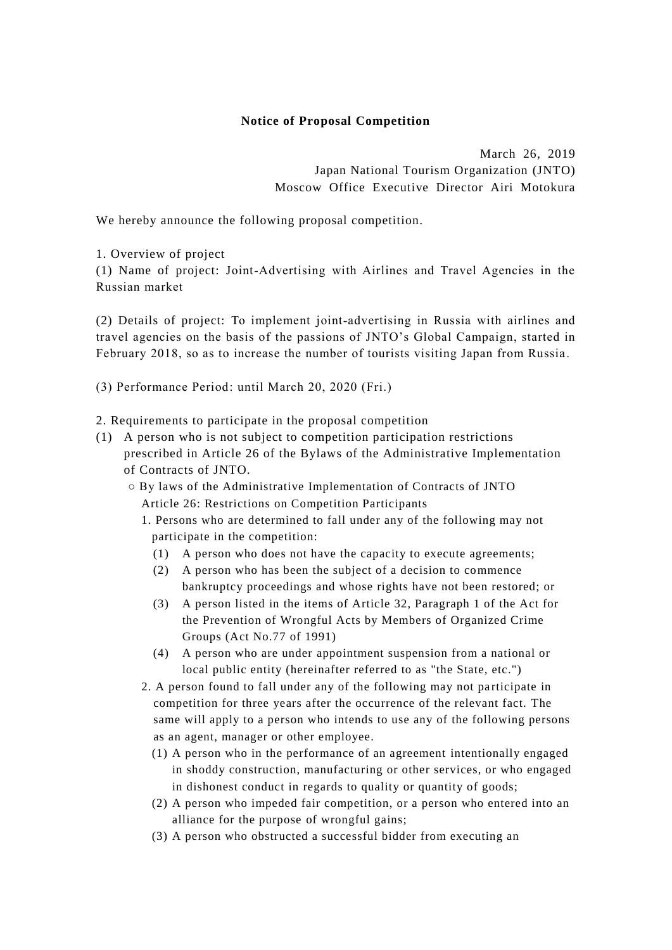## **Notice of Proposal Competition**

March 26, 2019 Japan National Tourism Organization (JNTO) Moscow Office Executive Director Airi Motokura

We hereby announce the following proposal competition.

1. Overview of project

(1) Name of project: Joint-Advertising with Airlines and Travel Agencies in the Russian market

(2) Details of project: To implement joint-advertising in Russia with airlines and travel agencies on the basis of the passions of JNTO's Global Campaign, started in February 2018, so as to increase the number of tourists visiting Japan from Russia .

(3) Performance Period: until March 20, 2020 (Fri.)

2. Requirements to participate in the proposal competition

- (1) A person who is not subject to competition participation restrictions prescribed in Article 26 of the Bylaws of the Administrative Implementation of Contracts of JNTO.
	- By laws of the Administrative Implementation of Contracts of JNTO Article 26: Restrictions on Competition Participants
		- 1. Persons who are determined to fall under any of the following may not participate in the competition:
			- (1) A person who does not have the capacity to execute agreements;
			- (2) A person who has been the subject of a decision to commence bankruptcy proceedings and whose rights have not been restored; or
			- (3) A person listed in the items of Article 32, Paragraph 1 of the Act for the Prevention of Wrongful Acts by Members of Organized Crime Groups (Act No.77 of 1991)
			- (4) A person who are under appointment suspension from a national or local public entity (hereinafter referred to as "the State, etc.")
		- 2. A person found to fall under any of the following may not participate in competition for three years after the occurrence of the relevant fact. The same will apply to a person who intends to use any of the following persons as an agent, manager or other employee.
			- (1) A person who in the performance of an agreement intentionally engaged in shoddy construction, manufacturing or other services, or who engaged in dishonest conduct in regards to quality or quantity of goods;
			- (2) A person who impeded fair competition, or a person who entered into an alliance for the purpose of wrongful gains;
			- (3) A person who obstructed a successful bidder from executing an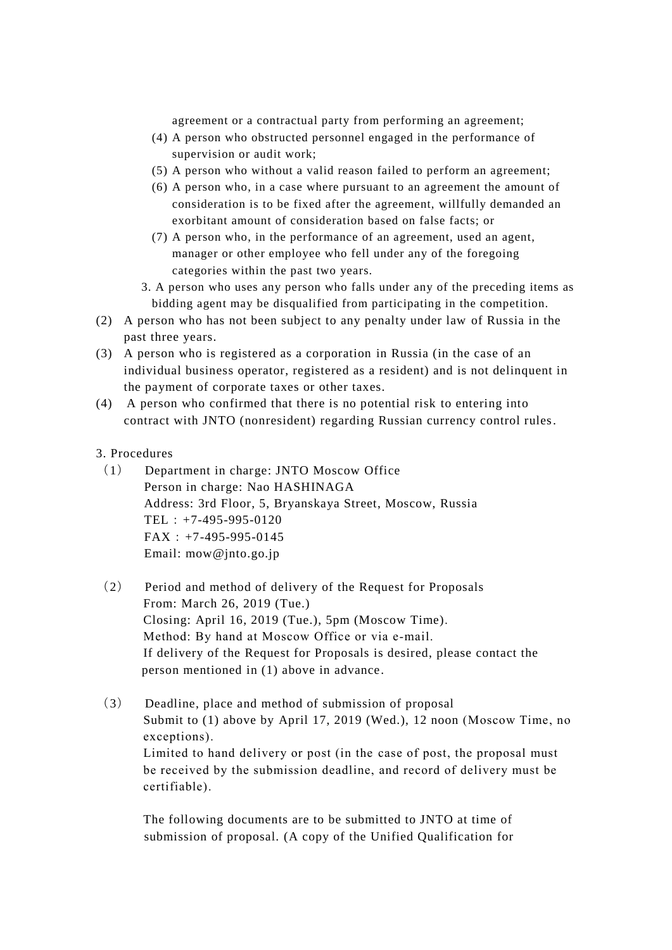agreement or a contractual party from performing an agreement;

- (4) A person who obstructed personnel engaged in the performance of supervision or audit work;
- (5) A person who without a valid reason failed to perform an agreement;
- (6) A person who, in a case where pursuant to an agreement the amount of consideration is to be fixed after the agreement, willfully demanded an exorbitant amount of consideration based on false facts; or
- (7) A person who, in the performance of an agreement, used an agent, manager or other employee who fell under any of the foregoing categories within the past two years.
- 3. A person who uses any person who falls under any of the preceding items as bidding agent may be disqualified from participating in the competition.
- (2) A person who has not been subject to any penalty under law of Russia in the past three years.
- (3) A person who is registered as a corporation in Russia (in the case of an individual business operator, registered as a resident) and is not delinquent in the payment of corporate taxes or other taxes.
- (4) A person who confirmed that there is no potential risk to entering into contract with JNTO (nonresident) regarding Russian currency control rules.
- 3. Procedures
- (1) Department in charge: JNTO Moscow Office Person in charge: Nao HASHINAGA Address: 3rd Floor, 5, Bryanskaya Street, Moscow, Russia TEL:+7-495-995-0120 FAX:+7-495-995-0145 Email: mow@jnto.go.jp
- (2) Period and method of delivery of the Request for Proposals From: March 26, 2019 (Tue.) Closing: April 16, 2019 (Tue.), 5pm (Moscow Time). Method: By hand at Moscow Office or via e-mail. If delivery of the Request for Proposals is desired, please contact the person mentioned in (1) above in advance.
- (3) Deadline, place and method of submission of proposal Submit to (1) above by April 17, 2019 (Wed.), 12 noon (Moscow Time, no exceptions). Limited to hand delivery or post (in the case of post, the proposal must be received by the submission deadline, and record of delivery must be certifiable).

The following documents are to be submitted to JNTO at time of submission of proposal. (A copy of the Unified Qualification for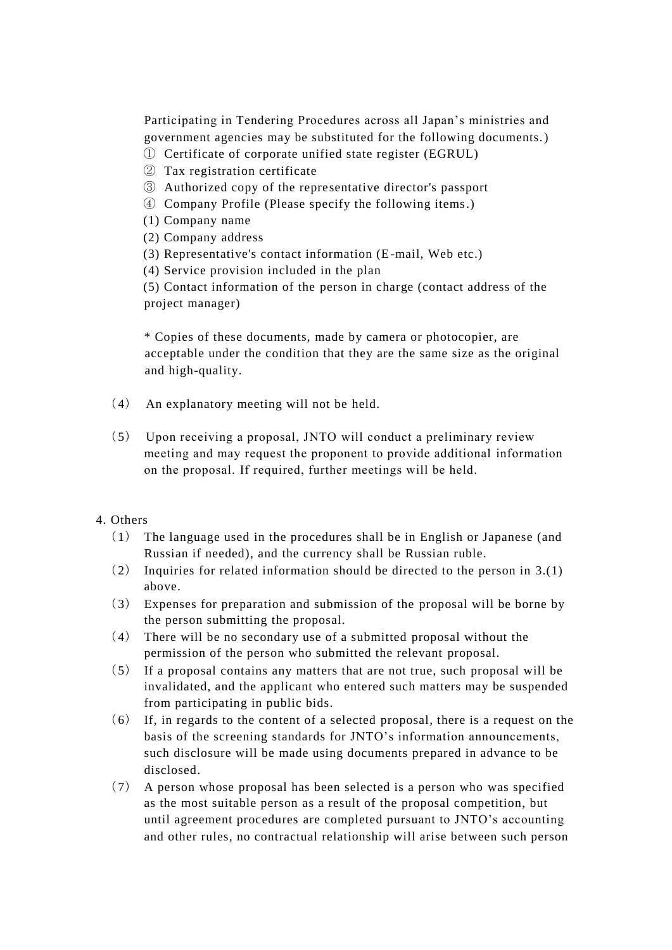Participating in Tendering Procedures across all Japan's ministries and government agencies may be substituted for the following documents.)

- ① Certificate of corporate unified state register (EGRUL)
- ② Tax registration certificate
- ③ Authorized copy of the representative director's passport
- ④ Company Profile (Please specify the following items.)
- (1) Company name
- (2) Company address
- (3) Representative's contact information (E-mail, Web etc.)
- (4) Service provision included in the plan

(5) Contact information of the person in charge (contact address of the project manager)

\* Copies of these documents, made by camera or photocopier, are acceptable under the condition that they are the same size as the original and high-quality.

- (4) An explanatory meeting will not be held.
- (5) Upon receiving a proposal, JNTO will conduct a preliminary review meeting and may request the proponent to provide additional information on the proposal. If required, further meetings will be held.

## 4. Others

- (1) The language used in the procedures shall be in English or Japanese (and Russian if needed), and the currency shall be Russian ruble.
- (2) Inquiries for related information should be directed to the person in 3.(1) above.
- (3) Expenses for preparation and submission of the proposal will be borne by the person submitting the proposal.
- (4) There will be no secondary use of a submitted proposal without the permission of the person who submitted the relevant proposal.
- (5) If a proposal contains any matters that are not true, such proposal will be invalidated, and the applicant who entered such matters may be suspended from participating in public bids.
- (6) If, in regards to the content of a selected proposal, there is a request on the basis of the screening standards for JNTO's information announcements, such disclosure will be made using documents prepared in advance to be disclosed.
- (7) A person whose proposal has been selected is a person who was specified as the most suitable person as a result of the proposal competition, but until agreement procedures are completed pursuant to JNTO's accounting and other rules, no contractual relationship will arise between such person